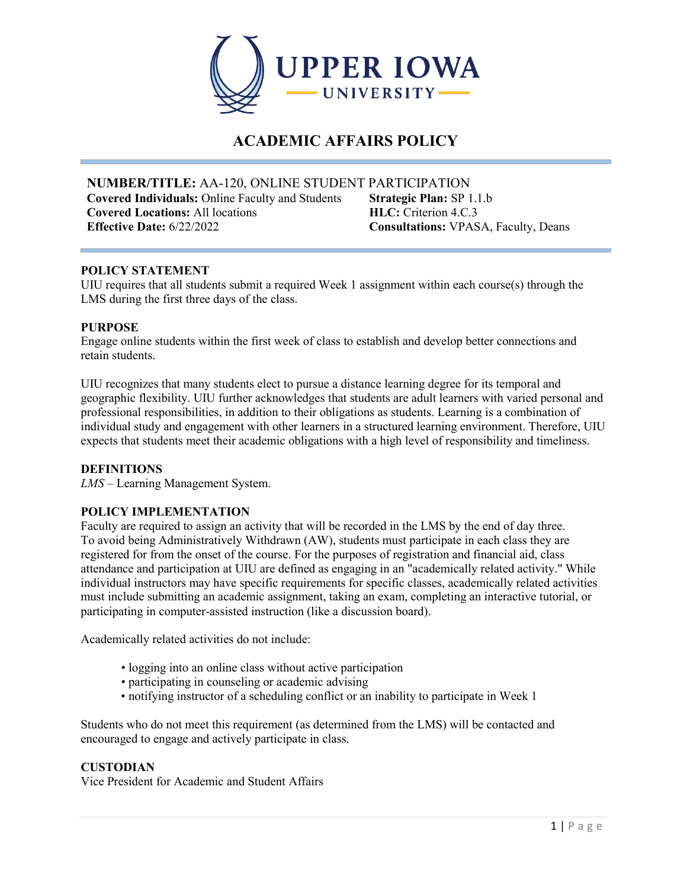

# **ACADEMIC AFFAIRS POLICY**

**NUMBER/TITLE:** AA-120, ONLINE STUDENT PARTICIPATION **Covered Individuals:** Online Faculty and Students **Covered Locations:** All locations **Effective Date:** 6/22/2022 **Consultations:** VPASA, Faculty, Deans

**Strategic Plan:** SP 1.1.b **HLC:** Criterion 4.C.3

#### **POLICY STATEMENT**

UIU requires that all students submit a required Week 1 assignment within each course(s) through the LMS during the first three days of the class.

#### **PURPOSE**

Engage online students within the first week of class to establish and develop better connections and retain students.

UIU recognizes that many students elect to pursue a distance learning degree for its temporal and geographic flexibility. UIU further acknowledges that students are adult learners with varied personal and professional responsibilities, in addition to their obligations as students. Learning is a combination of individual study and engagement with other learners in a structured learning environment. Therefore, UIU expects that students meet their academic obligations with a high level of responsibility and timeliness.

#### **DEFINITIONS**

*LMS –* Learning Management System.

#### **POLICY IMPLEMENTATION**

Faculty are required to assign an activity that will be recorded in the LMS by the end of day three. To avoid being Administratively Withdrawn (AW), students must participate in each class they are registered for from the onset of the course. For the purposes of registration and financial aid, class attendance and participation at UIU are defined as engaging in an "academically related activity." While individual instructors may have specific requirements for specific classes, academically related activities must include submitting an academic assignment, taking an exam, completing an interactive tutorial, or participating in computer-assisted instruction (like a discussion board).

Academically related activities do not include:

- logging into an online class without active participation
- participating in counseling or academic advising
- notifying instructor of a scheduling conflict or an inability to participate in Week 1

Students who do not meet this requirement (as determined from the LMS) will be contacted and encouraged to engage and actively participate in class.

#### **CUSTODIAN**

Vice President for Academic and Student Affairs